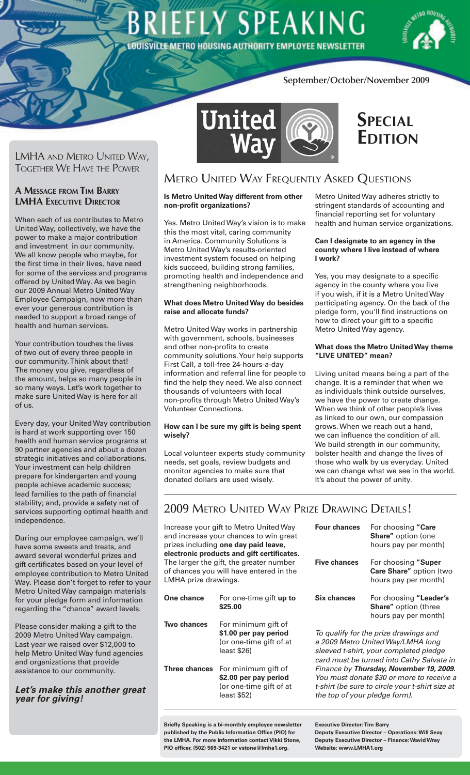# **EFLY SPEAKING OUISVILLE METRO HOUSING AUTHORITY EMPLOYEE NEWSLETTER**



# **September/October/November 2009**

LMHA and Metro United Way, Together We Have the Power

# **A Message from Tim Barry LMHA EXECUTIVE DIRECTOR**

When each of us contributes to Metro United Way, collectively, we have the power to make a major contribution and investment in our community. We all know people who maybe, for the first time in their lives, have need for some of the services and programs offered by United Way. As we begin our 2009 Annual Metro United Way Employee Campaign, now more than ever your generous contribution is needed to support a broad range of health and human services.

Your contribution touches the lives of two out of every three people in our community. Think about that! The money you give, regardless of the amount, helps so many people in so many ways. Let's work together to make sure United Way is here for all of us.

Every day, your United Way contribution is hard at work supporting over 150 health and human service programs at 90 partner agencies and about a dozen strategic initiatives and collaborations. Your investment can help children prepare for kindergarten and young people achieve academic success; lead families to the path of financial stability; and, provide a safety net of services supporting optimal health and independence.

During our employee campaign, we'll have some sweets and treats, and award several wonderful prizes and gift certificates based on your level of employee contribution to Metro United Way. Please don't forget to refer to your Metro United Way campaign materials for your pledge form and information regarding the "chance" award levels.

Please consider making a gift to the 2009 Metro United Way campaign. Last year we raised over \$12,000 to help Metro United Way fund agencies and organizations that provide assistance to our community.

# *Let's make this another great year for giving!*



# **Special Edition**

# Metro United Way Frequently Asked Questions

# **Is Metro United Way different from other non-profit organizations?**

Yes. Metro United Way's vision is to make this the most vital, caring community in America. Community Solutions is Metro United Way's results-oriented investment system focused on helping kids succeed, building strong families, promoting health and independence and strengthening neighborhoods.

## **What does Metro United Way do besides raise and allocate funds?**

Metro United Way works in partnership with government, schools, businesses and other non-profits to create community solutions. Your help supports First Call, a toll-free 24-hours-a-day information and referral line for people to find the help they need. We also connect thousands of volunteers with local non-profits through Metro United Way's Volunteer Connections.

## **How can I be sure my gift is being spent wisely?**

Local volunteer experts study community needs, set goals, review budgets and monitor agencies to make sure that donated dollars are used wisely.

Metro United Way adheres strictly to stringent standards of accounting and financial reporting set for voluntary health and human service organizations.

## **Can I designate to an agency in the county where I live instead of where I work?**

Yes, you may designate to a specific agency in the county where you live if you wish, if it is a Metro United Way participating agency. On the back of the pledge form, you'll find instructions on how to direct your gift to a specific Metro United Way agency.

# **What does the Metro United Way theme "LIVE UNITED" mean?**

Living united means being a part of the change. It is a reminder that when we as individuals think outside ourselves, we have the power to create change. When we think of other people's lives as linked to our own, our compassion grows. When we reach out a hand, we can influence the condition of all. We build strength in our community, bolster health and change the lives of those who walk by us everyday. United we can change what we see in the world. It's about the power of unity.

# 2009 Metro United Way Prize Drawing Details!

Increase your gift to Metro United Way and increase your chances to win great prizes including **one day paid leave, electronic products and gift certificates.** The larger the gift, the greater number of chances you will have entered in the LMHA prize drawings.

| One chance           | For one-time gift up to<br>\$25.00                                                     |
|----------------------|----------------------------------------------------------------------------------------|
| Two chances          | For minimum gift of<br>\$1.00 per pay period<br>(or one-time gift of at<br>least \$26) |
| <b>Three chances</b> | For minimum gift of<br>\$2.00 per pay period<br>(or one-time gift of at<br>least \$52) |

| <b>Four chances</b> | For choosing "Care<br><b>Share"</b> option (one<br>hours pay per month)       |
|---------------------|-------------------------------------------------------------------------------|
| <b>Five chances</b> | For choosing "Super<br>Care Share" option (two<br>hours pay per month)        |
| Six chances         | For choosing "Leader's<br><b>Share"</b> option (three<br>hours pay per month) |

*To qualify for the prize drawings and a 2009 Metro United Way/LMHA long sleeved t-shirt, your completed pledge card must be turned into Cathy Salvate in Finance by Thursday, November 19, 2009. You must donate \$30 or more to receive a t-shirt (be sure to circle your t-shirt size at the top of your pledge form).*

**Briefly Speaking is a bi-monthly employee newsletter published by the Public Information Office (PIO) for the LMHA. For more information contact Vikki Stone, PIO officer, (502) 569-3421 or vstone@lmha1.org.**

**Executive Director: Tim Barry Deputy Executive Director – Operations: Will Seay Deputy Executive Director – Finance: Wavid Wray Website: www.LMHA1.org**